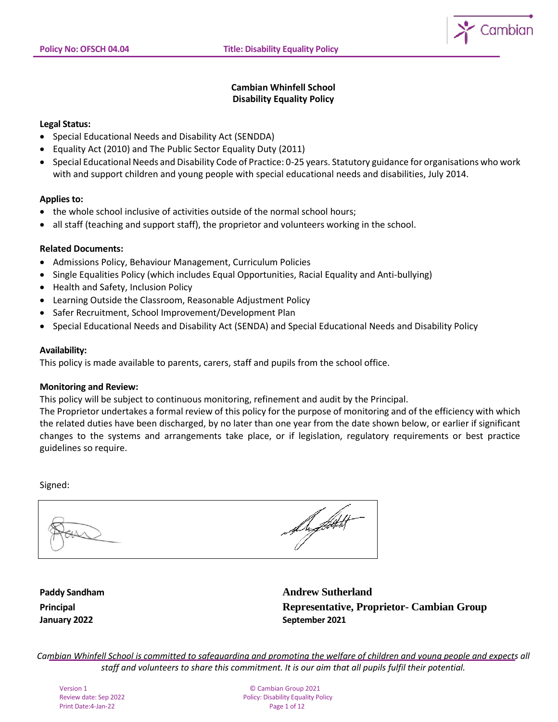

# **Cambian Whinfell School Disability Equality Policy**

### **Legal Status:**

- Special Educational Needs and Disability Act (SENDDA)
- Equality Act (2010) and The Public Sector Equality Duty (2011)
- Special Educational Needs and Disability Code of Practice: 0-25 years. Statutory guidance for organisations who work with and support children and young people with special educational needs and disabilities, July 2014.

### **Applies to:**

- the whole school inclusive of activities outside of the normal school hours;
- all staff (teaching and support staff), the proprietor and volunteers working in the school.

### **Related Documents:**

- Admissions Policy, Behaviour Management, Curriculum Policies
- Single Equalities Policy (which includes Equal Opportunities, Racial Equality and Anti-bullying)
- Health and Safety, Inclusion Policy
- Learning Outside the Classroom, Reasonable Adjustment Policy
- Safer Recruitment, School Improvement/Development Plan
- Special Educational Needs and Disability Act (SENDA) and Special Educational Needs and Disability Policy

#### **Availability:**

This policy is made available to parents, carers, staff and pupils from the school office.

### **Monitoring and Review:**

This policy will be subject to continuous monitoring, refinement and audit by the Principal.

The Proprietor undertakes a formal review of this policy for the purpose of monitoring and of the efficiency with which the related duties have been discharged, by no later than one year from the date shown below, or earlier if significant changes to the systems and arrangements take place, or if legislation, regulatory requirements or best practice guidelines so require.

Signed:

**January 2022 September 2021**

**Paddy Sandham Andrew Sutherland Principal Representative, Proprietor- Cambian Group**

*Cambian Whinfell School is committed to safeguarding and promoting the welfare of children and young people and expects all staff and volunteers to share this commitment. It is our aim that all pupils fulfil their potential.*

Print Date: 4-Jan-22

Version 1 © Cambian Group 2021 Review date: Sep 2022 **Policy: Disability Equality Policy**<br>Print Date: 4-Jan-22 **Policy: Print Date:** 4-Jan-22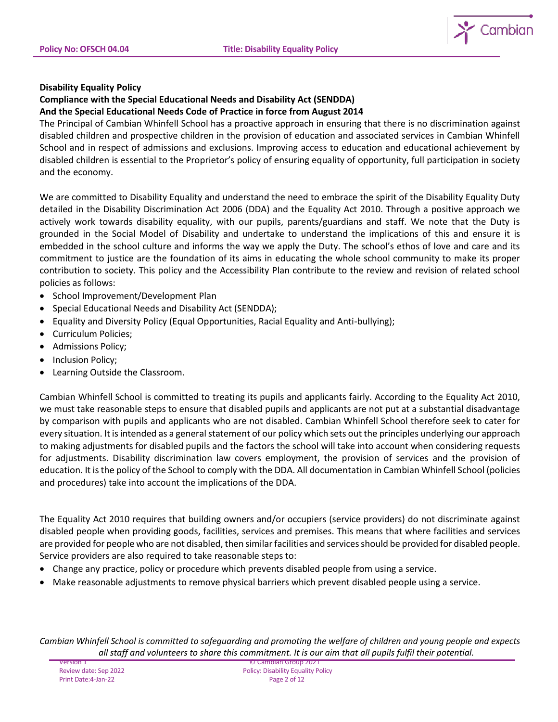

## **Disability Equality Policy**

### **Compliance with the Special Educational Needs and Disability Act (SENDDA) And the Special Educational Needs Code of Practice in force from August 2014**

The Principal of Cambian Whinfell School has a proactive approach in ensuring that there is no discrimination against disabled children and prospective children in the provision of education and associated services in Cambian Whinfell School and in respect of admissions and exclusions. Improving access to education and educational achievement by disabled children is essential to the Proprietor's policy of ensuring equality of opportunity, full participation in society and the economy.

We are committed to Disability Equality and understand the need to embrace the spirit of the Disability Equality Duty detailed in the Disability Discrimination Act 2006 (DDA) and the Equality Act 2010. Through a positive approach we actively work towards disability equality, with our pupils, parents/guardians and staff. We note that the Duty is grounded in the Social Model of Disability and undertake to understand the implications of this and ensure it is embedded in the school culture and informs the way we apply the Duty. The school's ethos of love and care and its commitment to justice are the foundation of its aims in educating the whole school community to make its proper contribution to society. This policy and the Accessibility Plan contribute to the review and revision of related school policies as follows:

- School Improvement/Development Plan
- Special Educational Needs and Disability Act (SENDDA);
- Equality and Diversity Policy (Equal Opportunities, Racial Equality and Anti-bullying);
- Curriculum Policies;
- Admissions Policy;
- Inclusion Policy;
- Learning Outside the Classroom.

Cambian Whinfell School is committed to treating its pupils and applicants fairly. According to the Equality Act 2010, we must take reasonable steps to ensure that disabled pupils and applicants are not put at a substantial disadvantage by comparison with pupils and applicants who are not disabled. Cambian Whinfell School therefore seek to cater for every situation. It is intended as a general statement of our policy which sets out the principles underlying our approach to making adjustments for disabled pupils and the factors the school will take into account when considering requests for adjustments. Disability discrimination law covers employment, the provision of services and the provision of education. It is the policy of the School to comply with the DDA. All documentation in Cambian Whinfell School (policies and procedures) take into account the implications of the DDA.

The Equality Act 2010 requires that building owners and/or occupiers (service providers) do not discriminate against disabled people when providing goods, facilities, services and premises. This means that where facilities and services are provided for people who are not disabled, then similar facilities and services should be provided for disabled people. Service providers are also required to take reasonable steps to:

- Change any practice, policy or procedure which prevents disabled people from using a service.
- Make reasonable adjustments to remove physical barriers which prevent disabled people using a service.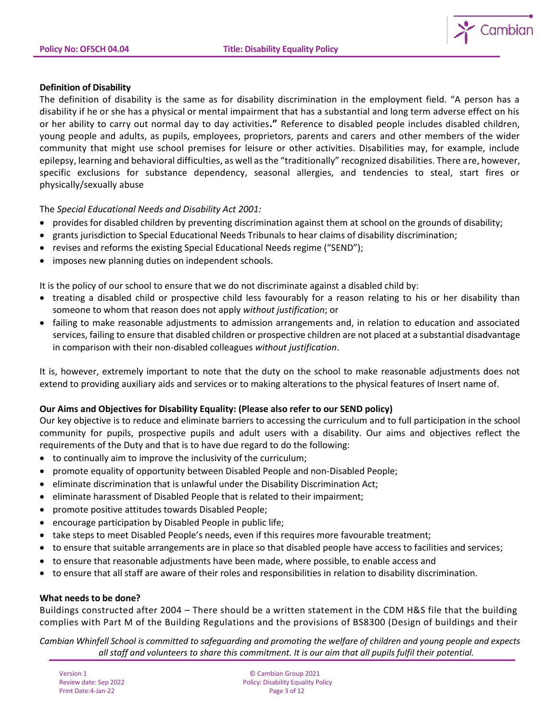

### **Definition of Disability**

The definition of disability is the same as for disability discrimination in the employment field. "A person has a disability if he or she has a physical or mental impairment that has a substantial and long term adverse effect on his or her ability to carry out normal day to day activities**."** Reference to disabled people includes disabled children, young people and adults, as pupils, employees, proprietors, parents and carers and other members of the wider community that might use school premises for leisure or other activities. Disabilities may, for example, include epilepsy, learning and behavioral difficulties, as well as the "traditionally" recognized disabilities. There are, however, specific exclusions for substance dependency, seasonal allergies, and tendencies to steal, start fires or physically/sexually abuse

The *Special Educational Needs and Disability Act 2001:*

- provides for disabled children by preventing discrimination against them at school on the grounds of disability;
- grants jurisdiction to Special Educational Needs Tribunals to hear claims of disability discrimination;
- revises and reforms the existing Special Educational Needs regime ("SEND");
- imposes new planning duties on independent schools.

It is the policy of our school to ensure that we do not discriminate against a disabled child by:

- treating a disabled child or prospective child less favourably for a reason relating to his or her disability than someone to whom that reason does not apply *without justification*; or
- failing to make reasonable adjustments to admission arrangements and, in relation to education and associated services, failing to ensure that disabled children or prospective children are not placed at a substantial disadvantage in comparison with their non-disabled colleagues *without justification*.

It is, however, extremely important to note that the duty on the school to make reasonable adjustments does not extend to providing auxiliary aids and services or to making alterations to the physical features of Insert name of.

### **Our Aims and Objectives for Disability Equality: (Please also refer to our SEND policy)**

Our key objective is to reduce and eliminate barriers to accessing the curriculum and to full participation in the school community for pupils, prospective pupils and adult users with a disability. Our aims and objectives reflect the requirements of the Duty and that is to have due regard to do the following:

- to continually aim to improve the inclusivity of the curriculum;
- promote equality of opportunity between Disabled People and non-Disabled People;
- eliminate discrimination that is unlawful under the Disability Discrimination Act;
- eliminate harassment of Disabled People that is related to their impairment;
- promote positive attitudes towards Disabled People;
- encourage participation by Disabled People in public life;
- take steps to meet Disabled People's needs, even if this requires more favourable treatment;
- to ensure that suitable arrangements are in place so that disabled people have access to facilities and services;
- to ensure that reasonable adjustments have been made, where possible, to enable access and
- to ensure that all staff are aware of their roles and responsibilities in relation to disability discrimination.

### **What needs to be done?**

Buildings constructed after 2004 – There should be a written statement in the CDM H&S file that the building complies with Part M of the Building Regulations and the provisions of BS8300 (Design of buildings and their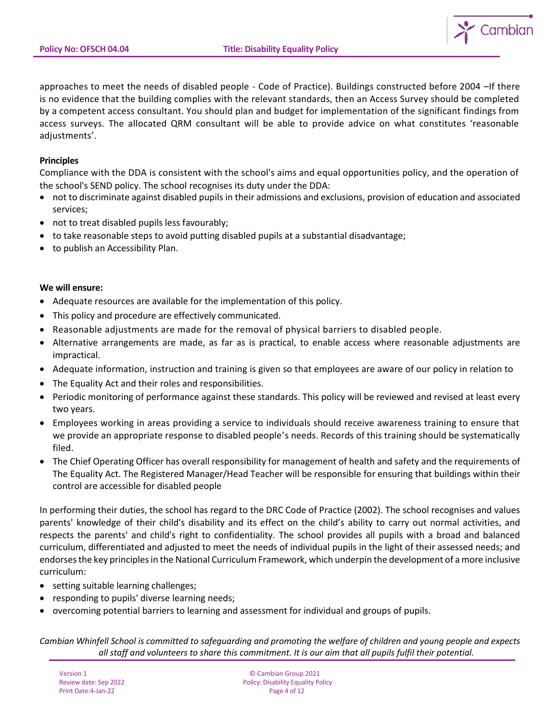

approaches to meet the needs of disabled people - Code of Practice). Buildings constructed before 2004 –If there is no evidence that the building complies with the relevant standards, then an Access Survey should be completed by a competent access consultant. You should plan and budget for implementation of the significant findings from access surveys. The allocated QRM consultant will be able to provide advice on what constitutes 'reasonable adjustments'.

### **Principles**

Compliance with the DDA is consistent with the school's aims and equal opportunities policy, and the operation of the school's SEND policy. The school recognises its duty under the DDA:

- not to discriminate against disabled pupils in their admissions and exclusions, provision of education and associated services;
- not to treat disabled pupils less favourably;
- to take reasonable steps to avoid putting disabled pupils at a substantial disadvantage;
- to publish an Accessibility Plan.

#### **We will ensure:**

- Adequate resources are available for the implementation of this policy.
- This policy and procedure are effectively communicated.
- Reasonable adjustments are made for the removal of physical barriers to disabled people.
- Alternative arrangements are made, as far as is practical, to enable access where reasonable adjustments are impractical.
- Adequate information, instruction and training is given so that employees are aware of our policy in relation to
- The Equality Act and their roles and responsibilities.
- Periodic monitoring of performance against these standards. This policy will be reviewed and revised at least every two years.
- Employees working in areas providing a service to individuals should receive awareness training to ensure that we provide an appropriate response to disabled people's needs. Records of this training should be systematically filed.
- The Chief Operating Officer has overall responsibility for management of health and safety and the requirements of The Equality Act. The Registered Manager/Head Teacher will be responsible for ensuring that buildings within their control are accessible for disabled people

In performing their duties, the school has regard to the DRC Code of Practice (2002). The school recognises and values parents' knowledge of their child's disability and its effect on the child's ability to carry out normal activities, and respects the parents' and child's right to confidentiality. The school provides all pupils with a broad and balanced curriculum, differentiated and adjusted to meet the needs of individual pupils in the light of their assessed needs; and endorses the key principles in the National Curriculum Framework, which underpin the development of a more inclusive curriculum:

- setting suitable learning challenges;
- responding to pupils' diverse learning needs;
- overcoming potential barriers to learning and assessment for individual and groups of pupils.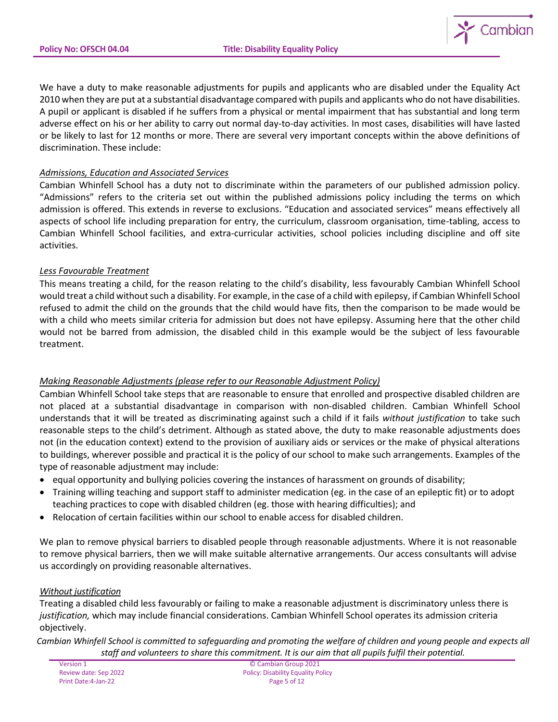

We have a duty to make reasonable adjustments for pupils and applicants who are disabled under the Equality Act 2010 when they are put at a substantial disadvantage compared with pupils and applicants who do not have disabilities. A pupil or applicant is disabled if he suffers from a physical or mental impairment that has substantial and long term adverse effect on his or her ability to carry out normal day-to-day activities. In most cases, disabilities will have lasted or be likely to last for 12 months or more. There are several very important concepts within the above definitions of discrimination. These include:

## *Admissions, Education and Associated Services*

Cambian Whinfell School has a duty not to discriminate within the parameters of our published admission policy. "Admissions" refers to the criteria set out within the published admissions policy including the terms on which admission is offered. This extends in reverse to exclusions. "Education and associated services" means effectively all aspects of school life including preparation for entry, the curriculum, classroom organisation, time-tabling, access to Cambian Whinfell School facilities, and extra-curricular activities, school policies including discipline and off site activities.

## *Less Favourable Treatment*

This means treating a child, for the reason relating to the child's disability, less favourably Cambian Whinfell School would treat a child without such a disability. For example, in the case of a child with epilepsy, if Cambian Whinfell School refused to admit the child on the grounds that the child would have fits, then the comparison to be made would be with a child who meets similar criteria for admission but does not have epilepsy. Assuming here that the other child would not be barred from admission, the disabled child in this example would be the subject of less favourable treatment.

# *Making Reasonable Adjustments (please refer to our Reasonable Adjustment Policy)*

Cambian Whinfell School take steps that are reasonable to ensure that enrolled and prospective disabled children are not placed at a substantial disadvantage in comparison with non-disabled children. Cambian Whinfell School understands that it will be treated as discriminating against such a child if it fails *without justification* to take such reasonable steps to the child's detriment. Although as stated above, the duty to make reasonable adjustments does not (in the education context) extend to the provision of auxiliary aids or services or the make of physical alterations to buildings, wherever possible and practical it is the policy of our school to make such arrangements. Examples of the type of reasonable adjustment may include:

- equal opportunity and bullying policies covering the instances of harassment on grounds of disability;
- Training willing teaching and support staff to administer medication (eg. in the case of an epileptic fit) or to adopt teaching practices to cope with disabled children (eg. those with hearing difficulties); and
- Relocation of certain facilities within our school to enable access for disabled children.

We plan to remove physical barriers to disabled people through reasonable adjustments. Where it is not reasonable to remove physical barriers, then we will make suitable alternative arrangements. Our access consultants will advise us accordingly on providing reasonable alternatives.

### *Without justification*

Treating a disabled child less favourably or failing to make a reasonable adjustment is discriminatory unless there is *justification,* which may include financial considerations. Cambian Whinfell School operates its admission criteria objectively.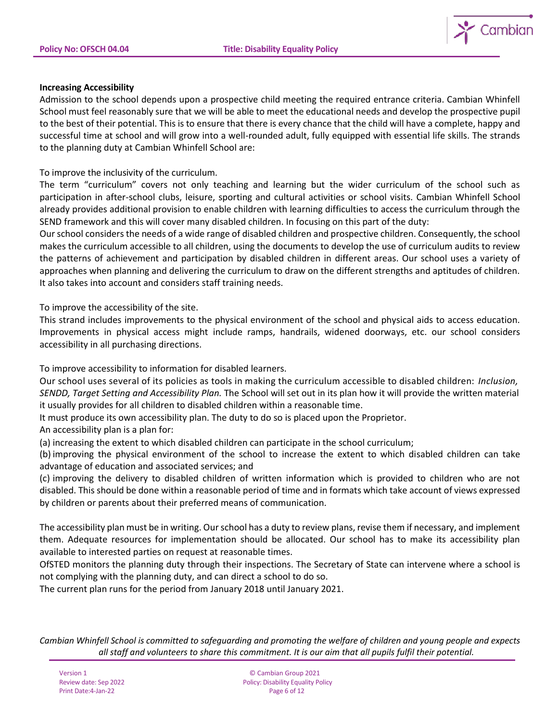

### **Increasing Accessibility**

Admission to the school depends upon a prospective child meeting the required entrance criteria. Cambian Whinfell School must feel reasonably sure that we will be able to meet the educational needs and develop the prospective pupil to the best of their potential. This is to ensure that there is every chance that the child will have a complete, happy and successful time at school and will grow into a well-rounded adult, fully equipped with essential life skills. The strands to the planning duty at Cambian Whinfell School are:

To improve the inclusivity of the curriculum.

The term "curriculum" covers not only teaching and learning but the wider curriculum of the school such as participation in after-school clubs, leisure, sporting and cultural activities or school visits. Cambian Whinfell School already provides additional provision to enable children with learning difficulties to access the curriculum through the SEND framework and this will cover many disabled children. In focusing on this part of the duty:

Our school considers the needs of a wide range of disabled children and prospective children. Consequently, the school makes the curriculum accessible to all children, using the documents to develop the use of curriculum audits to review the patterns of achievement and participation by disabled children in different areas. Our school uses a variety of approaches when planning and delivering the curriculum to draw on the different strengths and aptitudes of children. It also takes into account and considers staff training needs.

To improve the accessibility of the site.

This strand includes improvements to the physical environment of the school and physical aids to access education. Improvements in physical access might include ramps, handrails, widened doorways, etc. our school considers accessibility in all purchasing directions.

To improve accessibility to information for disabled learners.

Our school uses several of its policies as tools in making the curriculum accessible to disabled children: *Inclusion, SENDD, Target Setting and Accessibility Plan.* The School will set out in its plan how it will provide the written material it usually provides for all children to disabled children within a reasonable time.

It must produce its own accessibility plan. The duty to do so is placed upon the Proprietor.

An accessibility plan is a plan for:

(a) increasing the extent to which disabled children can participate in the school curriculum;

(b) improving the physical environment of the school to increase the extent to which disabled children can take advantage of education and associated services; and

(c) improving the delivery to disabled children of written information which is provided to children who are not disabled. This should be done within a reasonable period of time and in formats which take account of views expressed by children or parents about their preferred means of communication.

The accessibility plan must be in writing. Our school has a duty to review plans, revise them if necessary, and implement them. Adequate resources for implementation should be allocated. Our school has to make its accessibility plan available to interested parties on request at reasonable times.

OfSTED monitors the planning duty through their inspections. The Secretary of State can intervene where a school is not complying with the planning duty, and can direct a school to do so.

The current plan runs for the period from January 2018 until January 2021.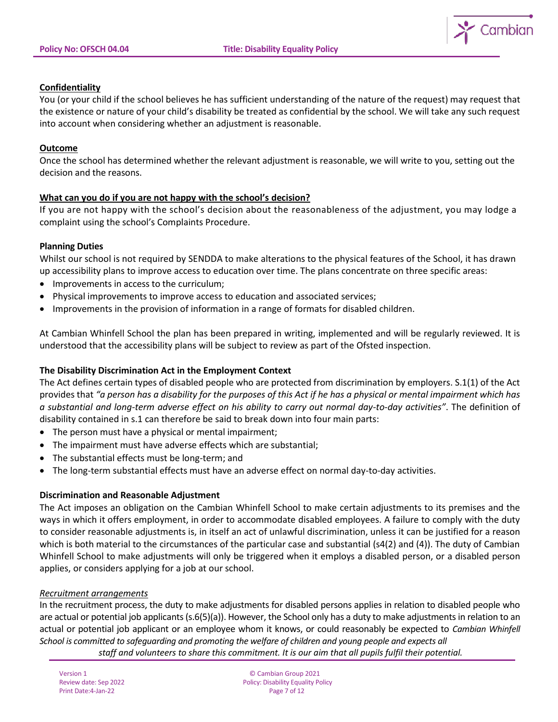

## **Confidentiality**

You (or your child if the school believes he has sufficient understanding of the nature of the request) may request that the existence or nature of your child's disability be treated as confidential by the school. We will take any such request into account when considering whether an adjustment is reasonable.

### **Outcome**

Once the school has determined whether the relevant adjustment is reasonable, we will write to you, setting out the decision and the reasons.

## **What can you do if you are not happy with the school's decision?**

If you are not happy with the school's decision about the reasonableness of the adjustment, you may lodge a complaint using the school's Complaints Procedure.

### **Planning Duties**

Whilst our school is not required by SENDDA to make alterations to the physical features of the School, it has drawn up accessibility plans to improve access to education over time. The plans concentrate on three specific areas:

- Improvements in access to the curriculum;
- Physical improvements to improve access to education and associated services;
- Improvements in the provision of information in a range of formats for disabled children.

At Cambian Whinfell School the plan has been prepared in writing, implemented and will be regularly reviewed. It is understood that the accessibility plans will be subject to review as part of the Ofsted inspection.

### **The Disability Discrimination Act in the Employment Context**

The Act defines certain types of disabled people who are protected from discrimination by employers. S.1(1) of the Act provides that *"a person has a disability for the purposes of this Act if he has a physical or mental impairment which has a substantial and long-term adverse effect on his ability to carry out normal day-to-day activities"*. The definition of disability contained in s.1 can therefore be said to break down into four main parts:

- The person must have a physical or mental impairment;
- The impairment must have adverse effects which are substantial;
- The substantial effects must be long-term; and
- The long-term substantial effects must have an adverse effect on normal day-to-day activities.

### **Discrimination and Reasonable Adjustment**

The Act imposes an obligation on the Cambian Whinfell School to make certain adjustments to its premises and the ways in which it offers employment, in order to accommodate disabled employees. A failure to comply with the duty to consider reasonable adjustments is, in itself an act of unlawful discrimination, unless it can be justified for a reason which is both material to the circumstances of the particular case and substantial (s4(2) and (4)). The duty of Cambian Whinfell School to make adjustments will only be triggered when it employs a disabled person, or a disabled person applies, or considers applying for a job at our school.

### *Recruitment arrangements*

In the recruitment process, the duty to make adjustments for disabled persons applies in relation to disabled people who are actual or potential job applicants (s.6(5)(a)). However, the School only has a duty to make adjustments in relation to an actual or potential job applicant or an employee whom it knows, or could reasonably be expected to *Cambian Whinfell School is committed to safeguarding and promoting the welfare of children and young people and expects all staff and volunteers to share this commitment. It is our aim that all pupils fulfil their potential.*

Print Date: 4-Jan-22

Version 1 © Cambian Group 2021 Review date: Sep 2022 **Policy: Disability Equality Policy**<br>Print Date: 4-Jan-22 **Policy: Print Date: 4-Jan-22 Page 7 of 12**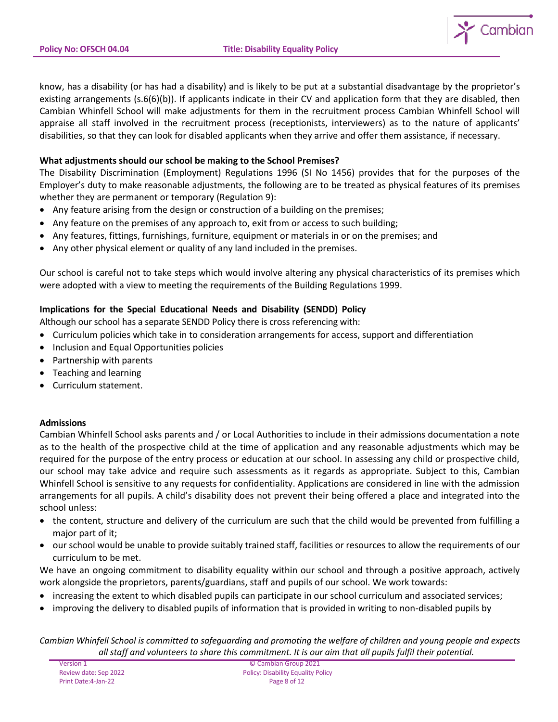

know, has a disability (or has had a disability) and is likely to be put at a substantial disadvantage by the proprietor's existing arrangements (s.6(6)(b)). If applicants indicate in their CV and application form that they are disabled, then Cambian Whinfell School will make adjustments for them in the recruitment process Cambian Whinfell School will appraise all staff involved in the recruitment process (receptionists, interviewers) as to the nature of applicants' disabilities, so that they can look for disabled applicants when they arrive and offer them assistance, if necessary.

## **What adjustments should our school be making to the School Premises?**

The Disability Discrimination (Employment) Regulations 1996 (SI No 1456) provides that for the purposes of the Employer's duty to make reasonable adjustments, the following are to be treated as physical features of its premises whether they are permanent or temporary (Regulation 9):

- Any feature arising from the design or construction of a building on the premises;
- Any feature on the premises of any approach to, exit from or access to such building;
- Any features, fittings, furnishings, furniture, equipment or materials in or on the premises; and
- Any other physical element or quality of any land included in the premises.

Our school is careful not to take steps which would involve altering any physical characteristics of its premises which were adopted with a view to meeting the requirements of the Building Regulations 1999.

# **Implications for the Special Educational Needs and Disability (SENDD) Policy**

Although our school has a separate SENDD Policy there is cross referencing with:

- Curriculum policies which take in to consideration arrangements for access, support and differentiation
- Inclusion and Equal Opportunities policies
- Partnership with parents
- Teaching and learning
- Curriculum statement.

# **Admissions**

Cambian Whinfell School asks parents and / or Local Authorities to include in their admissions documentation a note as to the health of the prospective child at the time of application and any reasonable adjustments which may be required for the purpose of the entry process or education at our school. In assessing any child or prospective child, our school may take advice and require such assessments as it regards as appropriate. Subject to this, Cambian Whinfell School is sensitive to any requests for confidentiality. Applications are considered in line with the admission arrangements for all pupils. A child's disability does not prevent their being offered a place and integrated into the school unless:

- the content, structure and delivery of the curriculum are such that the child would be prevented from fulfilling a major part of it;
- our school would be unable to provide suitably trained staff, facilities or resources to allow the requirements of our curriculum to be met.

We have an ongoing commitment to disability equality within our school and through a positive approach, actively work alongside the proprietors, parents/guardians, staff and pupils of our school. We work towards:

- increasing the extent to which disabled pupils can participate in our school curriculum and associated services;
- improving the delivery to disabled pupils of information that is provided in writing to non-disabled pupils by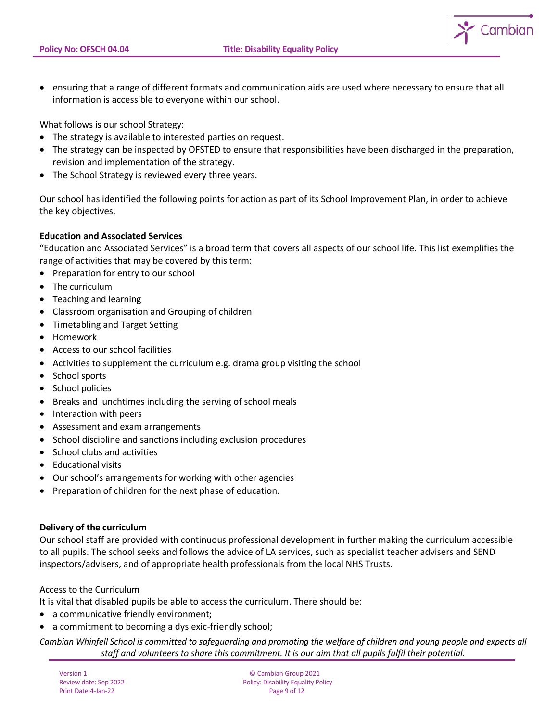Cambian

• ensuring that a range of different formats and communication aids are used where necessary to ensure that all information is accessible to everyone within our school.

What follows is our school Strategy:

- The strategy is available to interested parties on request.
- The strategy can be inspected by OFSTED to ensure that responsibilities have been discharged in the preparation, revision and implementation of the strategy.
- The School Strategy is reviewed every three years.

Our school has identified the following points for action as part of its School Improvement Plan, in order to achieve the key objectives.

## **Education and Associated Services**

"Education and Associated Services" is a broad term that covers all aspects of our school life. This list exemplifies the range of activities that may be covered by this term:

- Preparation for entry to our school
- The curriculum
- Teaching and learning
- Classroom organisation and Grouping of children
- Timetabling and Target Setting
- Homework
- Access to our school facilities
- Activities to supplement the curriculum e.g. drama group visiting the school
- School sports
- School policies
- Breaks and lunchtimes including the serving of school meals
- Interaction with peers
- Assessment and exam arrangements
- School discipline and sanctions including exclusion procedures
- School clubs and activities
- Educational visits
- Our school's arrangements for working with other agencies
- Preparation of children for the next phase of education.

### **Delivery of the curriculum**

Our school staff are provided with continuous professional development in further making the curriculum accessible to all pupils. The school seeks and follows the advice of LA services, such as specialist teacher advisers and SEND inspectors/advisers, and of appropriate health professionals from the local NHS Trusts.

### Access to the Curriculum

It is vital that disabled pupils be able to access the curriculum. There should be:

- a communicative friendly environment;
- a commitment to becoming a dyslexic-friendly school;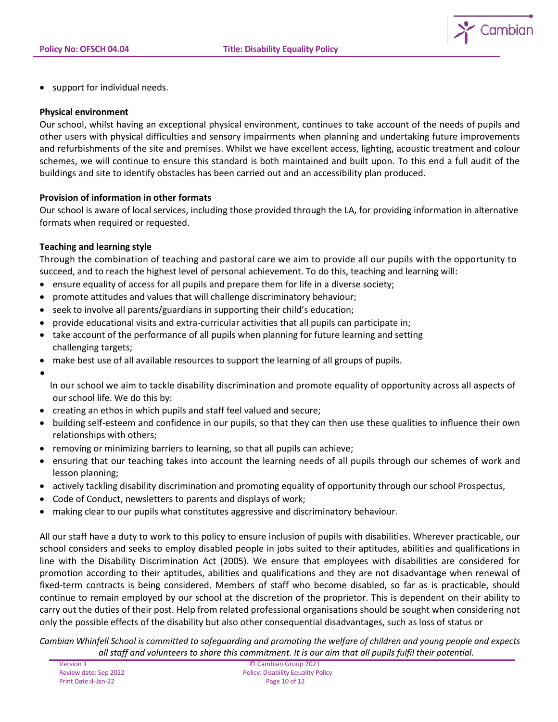

• support for individual needs.

### **Physical environment**

Our school, whilst having an exceptional physical environment, continues to take account of the needs of pupils and other users with physical difficulties and sensory impairments when planning and undertaking future improvements and refurbishments of the site and premises. Whilst we have excellent access, lighting, acoustic treatment and colour schemes, we will continue to ensure this standard is both maintained and built upon. To this end a full audit of the buildings and site to identify obstacles has been carried out and an accessibility plan produced.

### **Provision of information in other formats**

Our school is aware of local services, including those provided through the LA, for providing information in alternative formats when required or requested.

## **Teaching and learning style**

Through the combination of teaching and pastoral care we aim to provide all our pupils with the opportunity to succeed, and to reach the highest level of personal achievement. To do this, teaching and learning will:

- ensure equality of access for all pupils and prepare them for life in a diverse society;
- promote attitudes and values that will challenge discriminatory behaviour;
- seek to involve all parents/guardians in supporting their child's education;
- provide educational visits and extra-curricular activities that all pupils can participate in;
- take account of the performance of all pupils when planning for future learning and setting challenging targets;
- make best use of all available resources to support the learning of all groups of pupils.
- •

In our school we aim to tackle disability discrimination and promote equality of opportunity across all aspects of our school life. We do this by:

- creating an ethos in which pupils and staff feel valued and secure;
- building self-esteem and confidence in our pupils, so that they can then use these qualities to influence their own relationships with others;
- removing or minimizing barriers to learning, so that all pupils can achieve;
- ensuring that our teaching takes into account the learning needs of all pupils through our schemes of work and lesson planning;
- actively tackling disability discrimination and promoting equality of opportunity through our school Prospectus,
- Code of Conduct, newsletters to parents and displays of work;
- making clear to our pupils what constitutes aggressive and discriminatory behaviour.

All our staff have a duty to work to this policy to ensure inclusion of pupils with disabilities. Wherever practicable, our school considers and seeks to employ disabled people in jobs suited to their aptitudes, abilities and qualifications in line with the Disability Discrimination Act (2005). We ensure that employees with disabilities are considered for promotion according to their aptitudes, abilities and qualifications and they are not disadvantage when renewal of fixed-term contracts is being considered. Members of staff who become disabled, so far as is practicable, should continue to remain employed by our school at the discretion of the proprietor. This is dependent on their ability to carry out the duties of their post. Help from related professional organisations should be sought when considering not only the possible effects of the disability but also other consequential disadvantages, such as loss of status or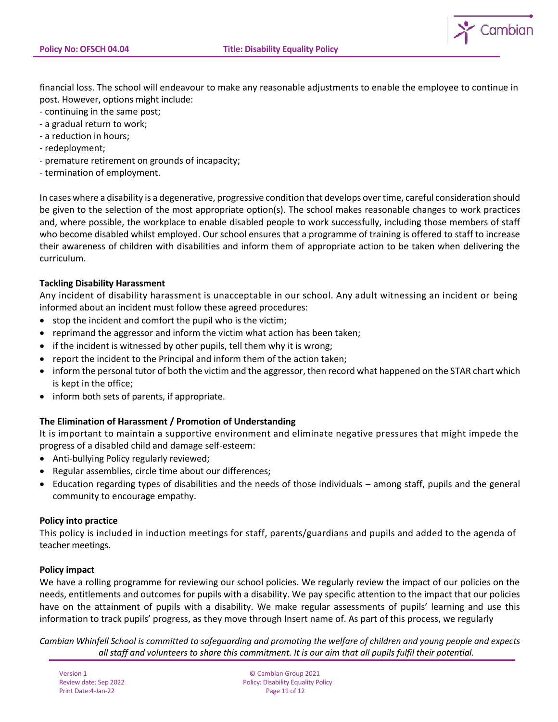

financial loss. The school will endeavour to make any reasonable adjustments to enable the employee to continue in post. However, options might include:

- continuing in the same post;
- a gradual return to work;
- a reduction in hours;
- redeployment;
- premature retirement on grounds of incapacity;
- termination of employment.

In cases where a disability is a degenerative, progressive condition that develops over time, careful consideration should be given to the selection of the most appropriate option(s). The school makes reasonable changes to work practices and, where possible, the workplace to enable disabled people to work successfully, including those members of staff who become disabled whilst employed. Our school ensures that a programme of training is offered to staff to increase their awareness of children with disabilities and inform them of appropriate action to be taken when delivering the curriculum.

### **Tackling Disability Harassment**

Any incident of disability harassment is unacceptable in our school. Any adult witnessing an incident or being informed about an incident must follow these agreed procedures:

- stop the incident and comfort the pupil who is the victim;
- reprimand the aggressor and inform the victim what action has been taken;
- if the incident is witnessed by other pupils, tell them why it is wrong;
- report the incident to the Principal and inform them of the action taken;
- inform the personal tutor of both the victim and the aggressor, then record what happened on the STAR chart which is kept in the office;
- inform both sets of parents, if appropriate.

# **The Elimination of Harassment / Promotion of Understanding**

It is important to maintain a supportive environment and eliminate negative pressures that might impede the progress of a disabled child and damage self-esteem:

- Anti-bullying Policy regularly reviewed;
- Regular assemblies, circle time about our differences;
- Education regarding types of disabilities and the needs of those individuals among staff, pupils and the general community to encourage empathy.

### **Policy into practice**

This policy is included in induction meetings for staff, parents/guardians and pupils and added to the agenda of teacher meetings.

### **Policy impact**

We have a rolling programme for reviewing our school policies. We regularly review the impact of our policies on the needs, entitlements and outcomes for pupils with a disability. We pay specific attention to the impact that our policies have on the attainment of pupils with a disability. We make regular assessments of pupils' learning and use this information to track pupils' progress, as they move through Insert name of. As part of this process, we regularly